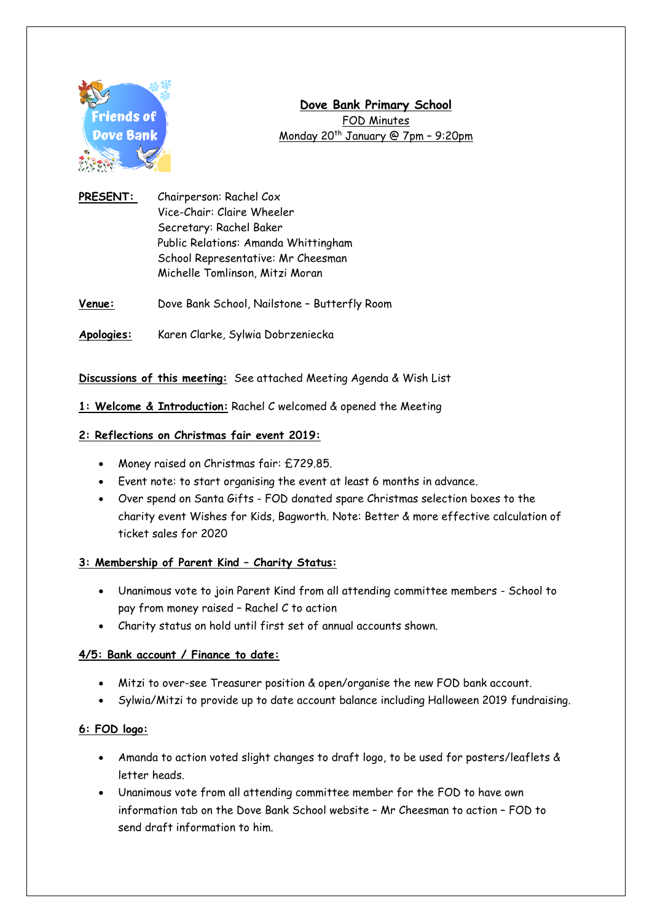

# **Dove Bank Primary School** FOD Minutes Monday 20<sup>th</sup> January @ 7pm - 9:20pm

- **PRESENT:** Chairperson: Rachel Cox Vice-Chair: Claire Wheeler Secretary: Rachel Baker Public Relations: Amanda Whittingham School Representative: Mr Cheesman Michelle Tomlinson, Mitzi Moran
- **Venue:** Dove Bank School, Nailstone Butterfly Room
- **Apologies:** Karen Clarke, Sylwia Dobrzeniecka

## **Discussions of this meeting:** See attached Meeting Agenda & Wish List

## **1: Welcome & Introduction:** Rachel C welcomed & opened the Meeting

## **2: Reflections on Christmas fair event 2019:**

- Money raised on Christmas fair: £729.85.
- Event note: to start organising the event at least 6 months in advance.
- Over spend on Santa Gifts FOD donated spare Christmas selection boxes to the charity event Wishes for Kids, Bagworth. Note: Better & more effective calculation of ticket sales for 2020

## **3: Membership of Parent Kind – Charity Status:**

- Unanimous vote to join Parent Kind from all attending committee members School to pay from money raised – Rachel C to action
- Charity status on hold until first set of annual accounts shown.

## **4/5: Bank account / Finance to date:**

- Mitzi to over-see Treasurer position & open/organise the new FOD bank account.
- Sylwia/Mitzi to provide up to date account balance including Halloween 2019 fundraising.

## **6: FOD logo:**

- Amanda to action voted slight changes to draft logo, to be used for posters/leaflets & letter heads.
- Unanimous vote from all attending committee member for the FOD to have own information tab on the Dove Bank School website – Mr Cheesman to action – FOD to send draft information to him.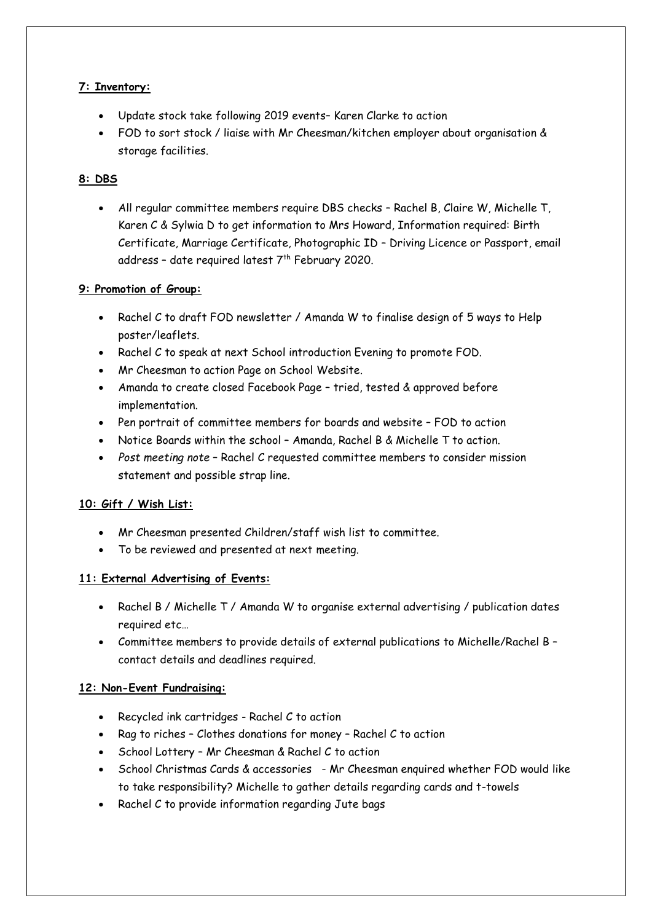# **7: Inventory:**

- Update stock take following 2019 events– Karen Clarke to action
- FOD to sort stock / liaise with Mr Cheesman/kitchen employer about organisation & storage facilities.

# **8: DBS**

 All regular committee members require DBS checks – Rachel B, Claire W, Michelle T, Karen C & Sylwia D to get information to Mrs Howard, Information required: Birth Certificate, Marriage Certificate, Photographic ID – Driving Licence or Passport, email address - date required latest  $7<sup>th</sup>$  February 2020.

# **9: Promotion of Group:**

- Rachel C to draft FOD newsletter / Amanda W to finalise design of 5 ways to Help poster/leaflets.
- Rachel C to speak at next School introduction Evening to promote FOD.
- Mr Cheesman to action Page on School Website.
- Amanda to create closed Facebook Page tried, tested & approved before implementation.
- Pen portrait of committee members for boards and website FOD to action
- Notice Boards within the school Amanda, Rachel B & Michelle T to action.
- *Post meeting note* Rachel C requested committee members to consider mission statement and possible strap line.

# **10: Gift / Wish List:**

- Mr Cheesman presented Children/staff wish list to committee.
- To be reviewed and presented at next meeting.

# **11: External Advertising of Events:**

- Rachel B / Michelle T / Amanda W to organise external advertising / publication dates required etc…
- Committee members to provide details of external publications to Michelle/Rachel B contact details and deadlines required.

# **12: Non-Event Fundraising:**

- Recycled ink cartridges Rachel C to action
- Rag to riches Clothes donations for money Rachel C to action
- School Lottery Mr Cheesman & Rachel C to action
- School Christmas Cards & accessories Mr Cheesman enquired whether FOD would like to take responsibility? Michelle to gather details regarding cards and t-towels
- Rachel C to provide information regarding Jute bags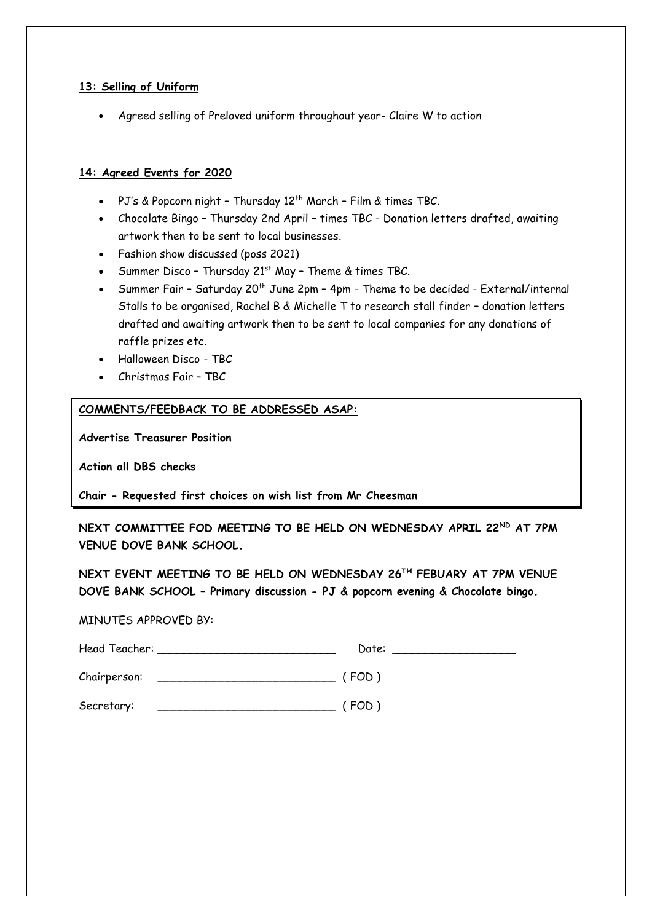#### **13: Selling of Uniform**

Agreed selling of Preloved uniform throughout year- Claire W to action

## **14: Agreed Events for 2020**

- PJ's & Popcorn night Thursday 12<sup>th</sup> March Film & times TBC.
- Chocolate Bingo Thursday 2nd April times TBC Donation letters drafted, awaiting artwork then to be sent to local businesses.
- Fashion show discussed (poss 2021)
- Summer Disco Thursday 21<sup>st</sup> May Theme & times TBC.
- Summer Fair Saturday 20<sup>th</sup> June 2pm 4pm Theme to be decided External/internal Stalls to be organised, Rachel B & Michelle T to research stall finder – donation letters drafted and awaiting artwork then to be sent to local companies for any donations of raffle prizes etc.
- Halloween Disco TBC
- Christmas Fair TBC

#### **COMMENTS/FEEDBACK TO BE ADDRESSED ASAP:**

**Advertise Treasurer Position**

**Action all DBS checks** 

**Chair - Requested first choices on wish list from Mr Cheesman**

**NEXT COMMITTEE FOD MEETING TO BE HELD ON WEDNESDAY APRIL 22ND AT 7PM VENUE DOVE BANK SCHOOL.**

**NEXT EVENT MEETING TO BE HELD ON WEDNESDAY 26TH FEBUARY AT 7PM VENUE DOVE BANK SCHOOL – Primary discussion - PJ & popcorn evening & Chocolate bingo.**

MINUTES APPROVED BY:

|              | Date:   |
|--------------|---------|
| Chairperson: | ( FOD ) |
| Secretary:   | ( FOD ) |